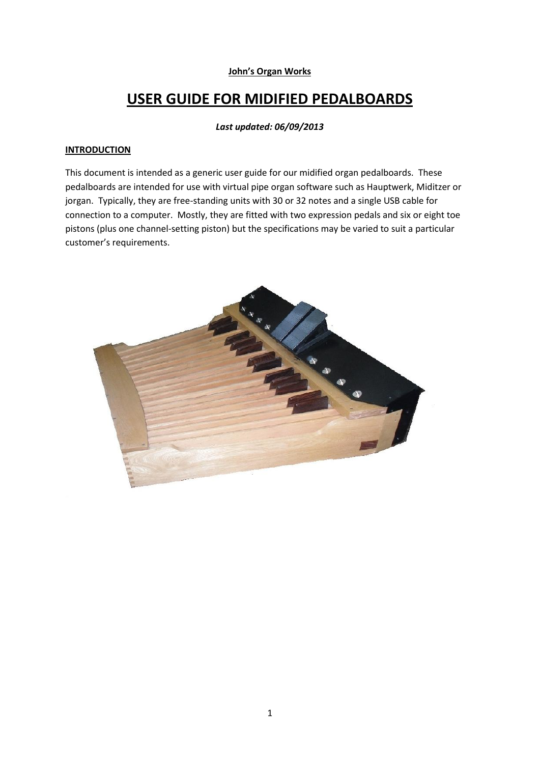# **John's Organ Works**

# **USER GUIDE FOR MIDIFIED PEDALBOARDS**

#### *Last updated: 06/09/2013*

#### **INTRODUCTION**

This document is intended as a generic user guide for our midified organ pedalboards. These pedalboards are intended for use with virtual pipe organ software such as Hauptwerk, Miditzer or jorgan. Typically, they are free-standing units with 30 or 32 notes and a single USB cable for connection to a computer. Mostly, they are fitted with two expression pedals and six or eight toe pistons (plus one channel-setting piston) but the specifications may be varied to suit a particular customer's requirements.

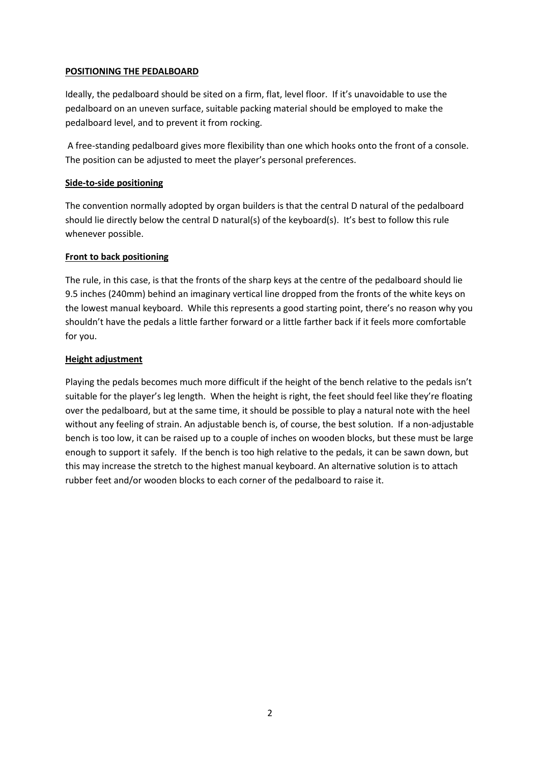## **POSITIONING THE PEDALBOARD**

Ideally, the pedalboard should be sited on a firm, flat, level floor. If it's unavoidable to use the pedalboard on an uneven surface, suitable packing material should be employed to make the pedalboard level, and to prevent it from rocking.

A free-standing pedalboard gives more flexibility than one which hooks onto the front of a console. The position can be adjusted to meet the player's personal preferences.

# **Side-to-side positioning**

The convention normally adopted by organ builders is that the central D natural of the pedalboard should lie directly below the central D natural(s) of the keyboard(s). It's best to follow this rule whenever possible.

## **Front to back positioning**

The rule, in this case, is that the fronts of the sharp keys at the centre of the pedalboard should lie 9.5 inches (240mm) behind an imaginary vertical line dropped from the fronts of the white keys on the lowest manual keyboard. While this represents a good starting point, there's no reason why you shouldn't have the pedals a little farther forward or a little farther back if it feels more comfortable for you.

## **Height adjustment**

Playing the pedals becomes much more difficult if the height of the bench relative to the pedals isn't suitable for the player's leg length. When the height is right, the feet should feel like they're floating over the pedalboard, but at the same time, it should be possible to play a natural note with the heel without any feeling of strain. An adjustable bench is, of course, the best solution. If a non-adjustable bench is too low, it can be raised up to a couple of inches on wooden blocks, but these must be large enough to support it safely. If the bench is too high relative to the pedals, it can be sawn down, but this may increase the stretch to the highest manual keyboard. An alternative solution is to attach rubber feet and/or wooden blocks to each corner of the pedalboard to raise it.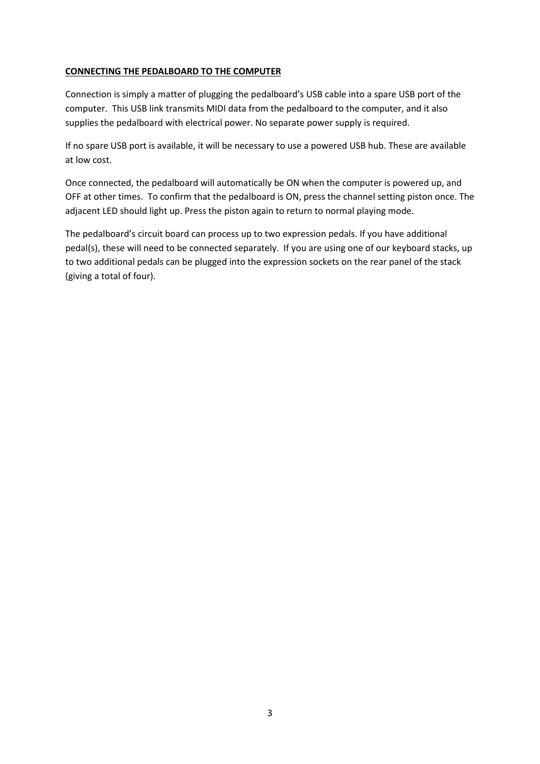# **CONNECTING THE PEDALBOARD TO THE COMPUTER**

Connection is simply a matter of plugging the pedalboard's USB cable into a spare USB port of the computer. This USB link transmits MIDI data from the pedalboard to the computer, and it also supplies the pedalboard with electrical power. No separate power supply is required.

If no spare USB port is available, it will be necessary to use a powered USB hub. These are available at low cost.

Once connected, the pedalboard will automatically be ON when the computer is powered up, and OFF at other times. To confirm that the pedalboard is ON, press the channel setting piston once. The adjacent LED should light up. Press the piston again to return to normal playing mode.

The pedalboard's circuit board can process up to two expression pedals. If you have additional pedal(s), these will need to be connected separately. If you are using one of our keyboard stacks, up to two additional pedals can be plugged into the expression sockets on the rear panel of the stack (giving a total of four).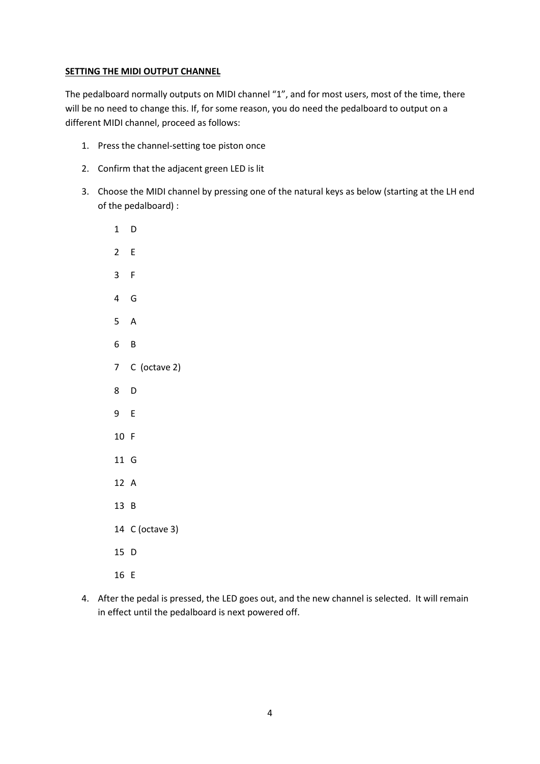## **SETTING THE MIDI OUTPUT CHANNEL**

The pedalboard normally outputs on MIDI channel "1", and for most users, most of the time, there will be no need to change this. If, for some reason, you do need the pedalboard to output on a different MIDI channel, proceed as follows:

- 1. Press the channel-setting toe piston once
- 2. Confirm that the adjacent green LED is lit
- 3. Choose the MIDI channel by pressing one of the natural keys as below (starting at the LH end of the pedalboard) :

| $\mathbf 1$             | D               |
|-------------------------|-----------------|
| $\overline{2}$          | E               |
| $\overline{3}$          | F               |
| $\overline{\mathbf{4}}$ | G               |
| 5                       | A               |
| 6 <sup>1</sup>          | B               |
|                         | 7 C (octave 2)  |
| 8                       | D               |
| 9                       | E               |
| 10 F                    |                 |
| 11 G                    |                 |
| 12 A                    |                 |
| 13                      | B               |
|                         | 14 C (octave 3) |
| 15                      | D               |
| 16 E                    |                 |

4. After the pedal is pressed, the LED goes out, and the new channel is selected. It will remain in effect until the pedalboard is next powered off.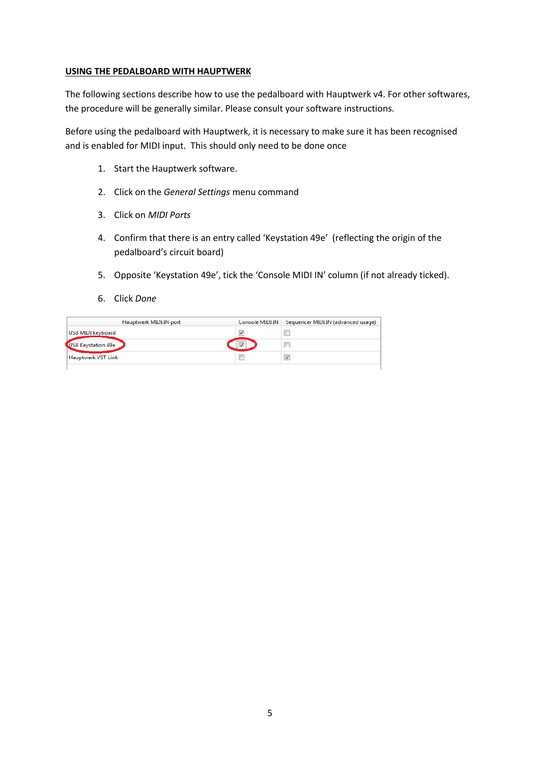#### **USING THE PEDALBOARD WITH HAUPTWERK**

The following sections describe how to use the pedalboard with Hauptwerk v4. For other softwares, the procedure will be generally similar. Please consult your software instructions.

Before using the pedalboard with Hauptwerk, it is necessary to make sure it has been recognised and is enabled for MIDI input. This should only need to be done once

- 1. Start the Hauptwerk software.
- 2. Click on the *General Settings* menu command
- 3. Click on *MIDI Ports*
- 4. Confirm that there is an entry called 'Keystation 49e' (reflecting the origin of the pedalboard's circuit board)
- 5. Opposite 'Keystation 49e', tick the 'Console MIDI IN' column (if not already ticked).
- 6. Click *Done*

| Hauptwerk MIDI IN port | Console MIDI IN | Sequencer MIDI IN (advanced usage) |
|------------------------|-----------------|------------------------------------|
| USB MIDI keyboard      |                 |                                    |
| USB Keystation 49e     |                 |                                    |
| Hauptwerk VST Link     |                 |                                    |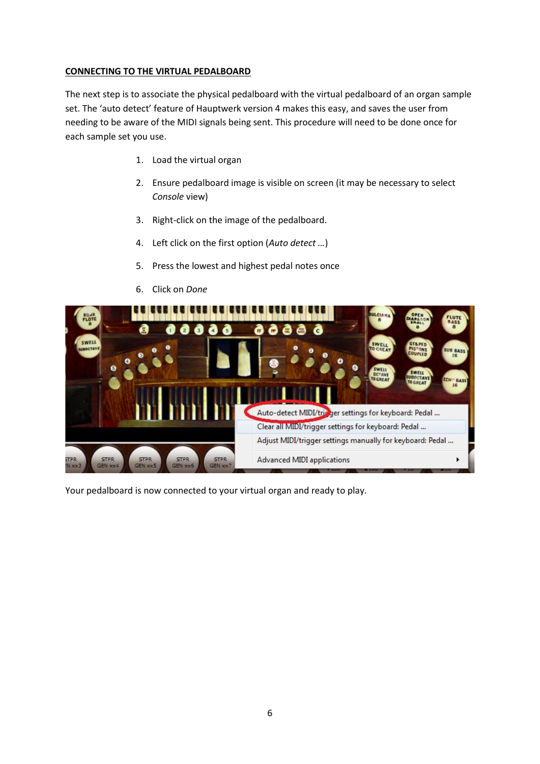## **CONNECTING TO THE VIRTUAL PEDALBOARD**

The next step is to associate the physical pedalboard with the virtual pedalboard of an organ sample set. The 'auto detect' feature of Hauptwerk version 4 makes this easy, and saves the user from needing to be aware of the MIDI signals being sent. This procedure will need to be done once for each sample set you use.

- 1. Load the virtual organ
- 2. Ensure pedalboard image is visible on screen (it may be necessary to select *Console* view)
- 3. Right-click on the image of the pedalboard.
- 4. Left click on the first option (*Auto detect …*)
- 5. Press the lowest and highest pedal notes once
- 6. Click on *Done*



Your pedalboard is now connected to your virtual organ and ready to play.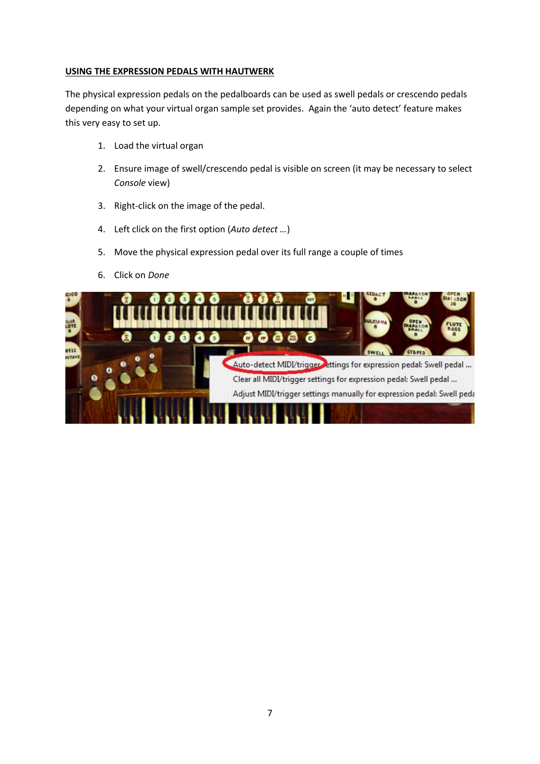## **USING THE EXPRESSION PEDALS WITH HAUTWERK**

The physical expression pedals on the pedalboards can be used as swell pedals or crescendo pedals depending on what your virtual organ sample set provides. Again the 'auto detect' feature makes this very easy to set up.

- 1. Load the virtual organ
- 2. Ensure image of swell/crescendo pedal is visible on screen (it may be necessary to select *Console* view)
- 3. Right-click on the image of the pedal.
- 4. Left click on the first option (*Auto detect …*)
- 5. Move the physical expression pedal over its full range a couple of times
- 6. Click on *Done*

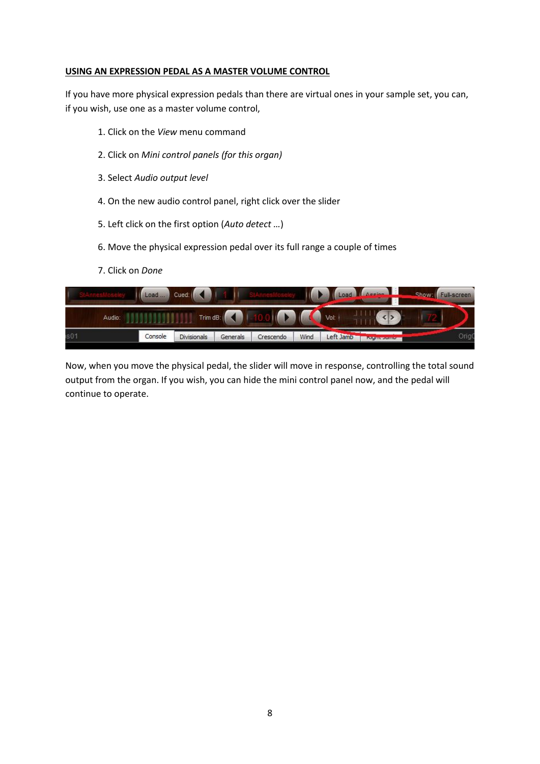#### **USING AN EXPRESSION PEDAL AS A MASTER VOLUME CONTROL**

If you have more physical expression pedals than there are virtual ones in your sample set, you can, if you wish, use one as a master volume control,

- 1. Click on the *View* menu command
- 2. Click on *Mini control panels (for this organ)*
- 3. Select *Audio output level*
- 4. On the new audio control panel, right click over the slider
- 5. Left click on the first option (*Auto detect …*)
- 6. Move the physical expression pedal over its full range a couple of times
- 7. Click on *Done*

|        | Load    | Cued <sup>:</sup> |          |           |      |           | Load Massion         | Show: Full-screen |       |
|--------|---------|-------------------|----------|-----------|------|-----------|----------------------|-------------------|-------|
| Audio: |         | Trim dB:          |          |           |      | Vol:      |                      |                   |       |
| s01    | Console | Divisionals       | Generals | Crescendo | Wind | Left Jamb | <b>INIGER DOMINA</b> |                   | OrigO |

Now, when you move the physical pedal, the slider will move in response, controlling the total sound output from the organ. If you wish, you can hide the mini control panel now, and the pedal will continue to operate.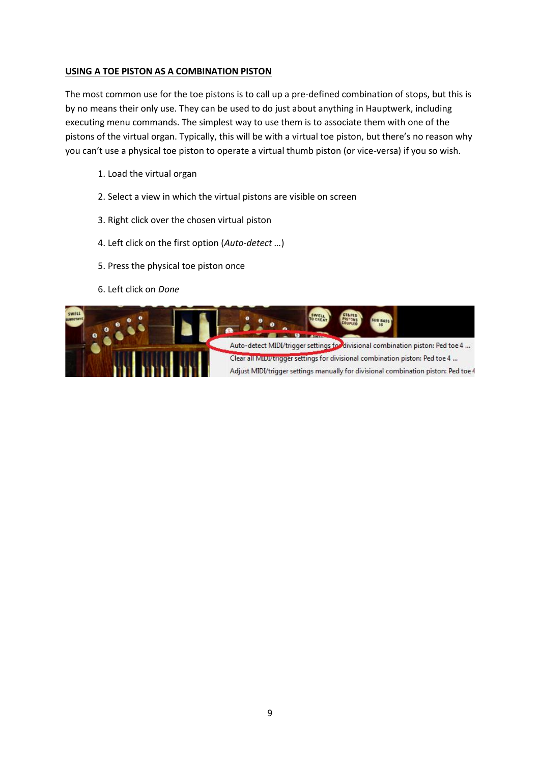# **USING A TOE PISTON AS A COMBINATION PISTON**

The most common use for the toe pistons is to call up a pre-defined combination of stops, but this is by no means their only use. They can be used to do just about anything in Hauptwerk, including executing menu commands. The simplest way to use them is to associate them with one of the pistons of the virtual organ. Typically, this will be with a virtual toe piston, but there's no reason why you can't use a physical toe piston to operate a virtual thumb piston (or vice-versa) if you so wish.

- 1. Load the virtual organ
- 2. Select a view in which the virtual pistons are visible on screen
- 3. Right click over the chosen virtual piston
- 4. Left click on the first option (*Auto-detect …*)
- 5. Press the physical toe piston once
- 6. Left click on *Done*

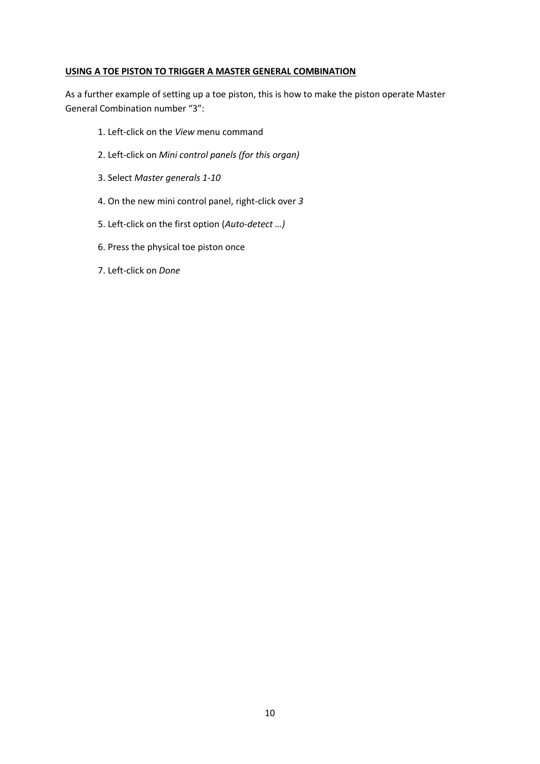#### **USING A TOE PISTON TO TRIGGER A MASTER GENERAL COMBINATION**

As a further example of setting up a toe piston, this is how to make the piston operate Master General Combination number "3":

- 1. Left-click on the *View* menu command
- 2. Left-click on *Mini control panels (for this organ)*
- 3. Select *Master generals 1-10*
- 4. On the new mini control panel, right-click over *3*
- 5. Left-click on the first option (*Auto-detect …)*
- 6. Press the physical toe piston once
- 7. Left-click on *Done*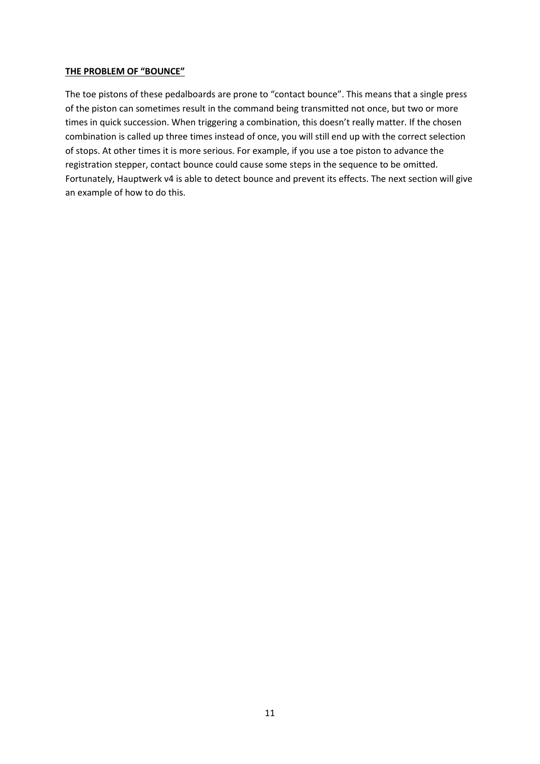#### **THE PROBLEM OF "BOUNCE"**

The toe pistons of these pedalboards are prone to "contact bounce". This means that a single press of the piston can sometimes result in the command being transmitted not once, but two or more times in quick succession. When triggering a combination, this doesn't really matter. If the chosen combination is called up three times instead of once, you will still end up with the correct selection of stops. At other times it is more serious. For example, if you use a toe piston to advance the registration stepper, contact bounce could cause some steps in the sequence to be omitted. Fortunately, Hauptwerk v4 is able to detect bounce and prevent its effects. The next section will give an example of how to do this.